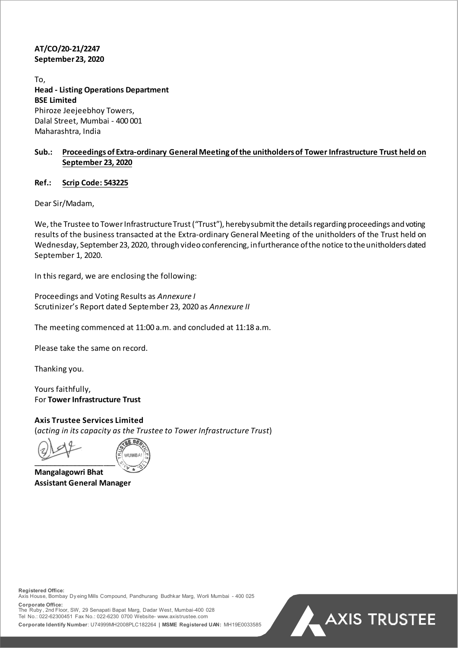# **AT/CO/20-21/2247 September 23, 2020**

To, **Head - Listing Operations Department BSE Limited** Phiroze Jeejeebhoy Towers, Dalal Street, Mumbai - 400 001 Maharashtra, India

# **Sub.: Proceedings of Extra-ordinary General Meeting ofthe unitholders of Tower Infrastructure Trust held on September 23, 2020**

### **Ref.: Scrip Code: 543225**

Dear Sir/Madam,

We, the Trustee to Tower Infrastructure Trust ("Trust"), hereby submit the details regarding proceedings and voting results of the business transacted at the Extra-ordinary General Meeting of the unitholders of the Trust held on Wednesday, September 23, 2020, through video conferencing, in furtherance of the notice to the unitholders dated September 1, 2020.

In this regard, we are enclosing the following:

Proceedings and Voting Results as *Annexure I* Scrutinizer's Report dated September 23, 2020 as *Annexure II*

The meeting commenced at 11:00 a.m. and concluded at 11:18 a.m.

Please take the same on record.

Thanking you.

Yours faithfully, For **Tower Infrastructure Trust**

**Axis Trustee Services Limited**  (*acting in its capacity as the Trustee to Tower Infrastructure Trust*)

 $\overline{\phantom{a}}$ 



**Mangalagowri Bhat Assistant General Manager** 

**Registered Office:**  Axis House, Bombay Dy eing Mills Compound, Pandhurang Budhkar Marg, Worli Mumbai - 400 025 **Corporate Office:**

The Ruby , 2nd Floor, SW, 29 Senapati Bapat Marg, Dadar West, Mumbai-400 028 Tel No.: 022-62300451 Fax No.: 022-6230 0700 Website- www.axistrustee.com **Corporate Identify Number**: U74999MH2008PLC182264 **| MSME Registered UAN:** MH19E0033585

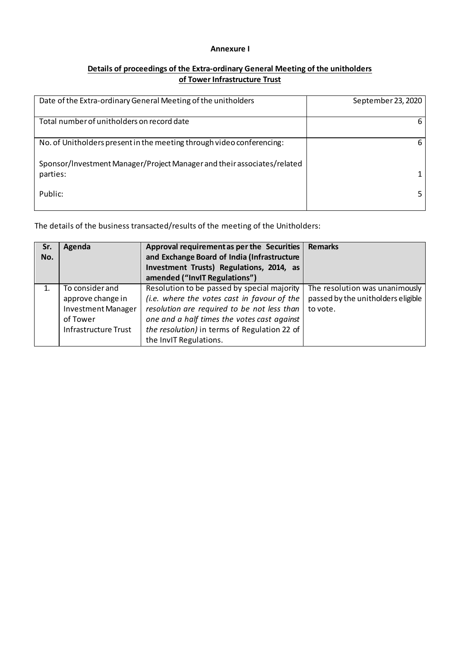### **Annexure I**

# **Details of proceedings of the Extra-ordinary General Meeting of the unitholders of Tower Infrastructure Trust**

| Date of the Extra-ordinary General Meeting of the unitholders                       | September 23, 2020 |
|-------------------------------------------------------------------------------------|--------------------|
| Total number of unitholders on record date                                          |                    |
| No. of Unitholders present in the meeting through video conferencing:               |                    |
| Sponsor/Investment Manager/Project Manager and their associates/related<br>parties: |                    |
| Public:                                                                             |                    |

The details of the business transacted/results of the meeting of the Unitholders:

| Sr.<br>No. | Agenda                    | Approval requirement as per the Securities<br>and Exchange Board of India (Infrastructure<br>Investment Trusts) Regulations, 2014, as<br>amended ("InvIT Regulations") | <b>Remarks</b>                     |
|------------|---------------------------|------------------------------------------------------------------------------------------------------------------------------------------------------------------------|------------------------------------|
|            | To consider and           | Resolution to be passed by special majority                                                                                                                            | The resolution was unanimously     |
|            | approve change in         | (i.e. where the votes cast in favour of the                                                                                                                            | passed by the unitholders eligible |
|            | <b>Investment Manager</b> | resolution are required to be not less than                                                                                                                            | to vote.                           |
|            | of Tower                  | one and a half times the votes cast against                                                                                                                            |                                    |
|            | Infrastructure Trust      | the resolution) in terms of Regulation 22 of                                                                                                                           |                                    |
|            |                           | the InvIT Regulations.                                                                                                                                                 |                                    |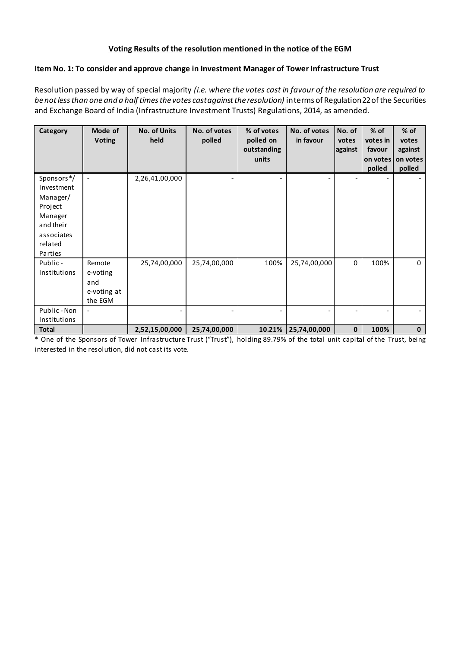## **Voting Results of the resolution mentioned in the notice of the EGM**

## **Item No. 1: To consider and approve change in Investment Manager of Tower Infrastructure Trust**

Resolution passed by way of special majority *(i.e. where the votes cast in favour of the resolution are required to be not less than one and a half times the votes cast against the resolution)* in terms of Regulation 22 of the Securities and Exchange Board of India (Infrastructure Investment Trusts) Regulations, 2014, as amended.

| Category                                                                                                    | Mode of<br><b>Voting</b>                            | <b>No. of Units</b><br>held | No. of votes<br>polled | % of votes<br>polled on<br>outstanding<br>units | No. of votes<br>in favour | No. of<br>votes<br>against | $%$ of<br>votes in<br>favour<br>on votes<br>polled | % of<br>votes<br>against<br>on votes<br>polled |
|-------------------------------------------------------------------------------------------------------------|-----------------------------------------------------|-----------------------------|------------------------|-------------------------------------------------|---------------------------|----------------------------|----------------------------------------------------|------------------------------------------------|
| Sponsors*/<br>Investment<br>Manager/<br>Project<br>Manager<br>and their<br>associates<br>related<br>Parties | $\overline{\phantom{a}}$                            | 2,26,41,00,000              |                        |                                                 |                           |                            |                                                    |                                                |
| Public-<br>Institutions                                                                                     | Remote<br>e-voting<br>and<br>e-voting at<br>the EGM | 25,74,00,000                | 25,74,00,000           | 100%                                            | 25,74,00,000              | 0                          | 100%                                               | $\mathbf 0$                                    |
| Public - Non<br>Institutions                                                                                | $\overline{\phantom{a}}$                            |                             |                        |                                                 |                           |                            |                                                    |                                                |
| <b>Total</b>                                                                                                |                                                     | 2,52,15,00,000              | 25,74,00,000           | 10.21%                                          | 25,74,00,000              | $\mathbf{0}$               | 100%                                               | $\mathbf{0}$                                   |

\* One of the Sponsors of Tower Infrastructure Trust ("Trust"), holding 89.79% of the total unit capital of the Trust, being interested in the resolution, did not cast its vote.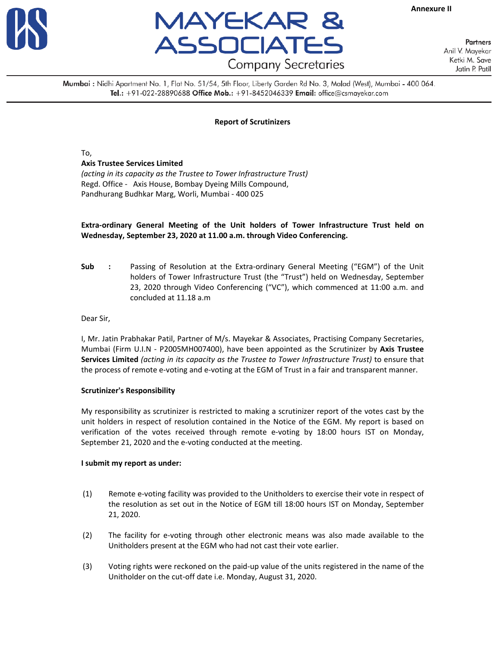



**Annexure II**

**Partners** Anil V. Mayekar Ketki M. Save Jatin P. Patil

Mumbai : Nidhi Apartment No. 1, Flat No. 51/54, 5th Floor, Liberty Garden Rd No. 3, Malad (West), Mumbai - 400 064. Tel.: +91-022-28890688 Office Mob.: +91-8452046339 Email: office@csmayekar.com

#### **Report of Scrutinizers**

To,

#### **Axis Trustee Services Limited**

*(acting in its capacity as the Trustee to Tower Infrastructure Trust)* Regd. Office - Axis House, Bombay Dyeing Mills Compound, Pandhurang Budhkar Marg, Worli, Mumbai ‐ 400 025

#### **Extra‐ordinary General Meeting of the Unit holders of Tower Infrastructure Trust held on Wednesday, September 23, 2020 at 11.00 a.m. through Video Conferencing.**

**Sub :**  Passing of Resolution at the Extra‐ordinary General Meeting ("EGM") of the Unit holders of Tower Infrastructure Trust (the "Trust") held on Wednesday, September 23, 2020 through Video Conferencing ("VC"), which commenced at 11:00 a.m. and concluded at 11.18 a.m

Dear Sir,

I, Mr. Jatin Prabhakar Patil, Partner of M/s. Mayekar & Associates, Practising Company Secretaries, Mumbai (Firm U.I.N ‐ P2005MH007400), have been appointed as the Scrutinizer by **Axis Trustee Services Limited** *(acting in its capacity as the Trustee to Tower Infrastructure Trust)* to ensure that the process of remote e-voting and e-voting at the EGM of Trust in a fair and transparent manner.

#### **Scrutinizer's Responsibility**

My responsibility as scrutinizer is restricted to making a scrutinizer report of the votes cast by the unit holders in respect of resolution contained in the Notice of the EGM. My report is based on verification of the votes received through remote e-voting by 18:00 hours IST on Monday, September 21, 2020 and the e-voting conducted at the meeting.

#### **I submit my report as under:**

- (1) Remote e‐voting facility was provided to the Unitholders to exercise their vote in respect of the resolution as set out in the Notice of EGM till 18:00 hours IST on Monday, September 21, 2020.
- (2) The facility for e‐voting through other electronic means was also made available to the Unitholders present at the EGM who had not cast their vote earlier.
- (3) Voting rights were reckoned on the paid‐up value of the units registered in the name of the Unitholder on the cut‐off date i.e. Monday, August 31, 2020.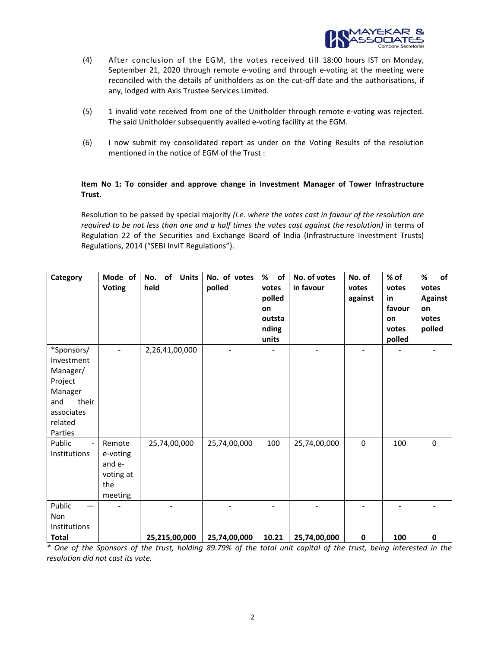

- (4) After conclusion of the EGM, the votes received till 18:00 hours IST on Monday, September 21, 2020 through remote e‐voting and through e‐voting at the meeting were reconciled with the details of unitholders as on the cut‐off date and the authorisations, if any, lodged with Axis Trustee Services Limited.
- (5) 1 invalid vote received from one of the Unitholder through remote e‐voting was rejected. The said Unitholder subsequently availed e‐voting facility at the EGM.
- (6) I now submit my consolidated report as under on the Voting Results of the resolution mentioned in the notice of EGM of the Trust :

### **Item No 1: To consider and approve change in Investment Manager of Tower Infrastructure Trust.**

Resolution to be passed by special majority *(i.e. where the votes cast in favour of the resolution are required to be not less than one and a half times the votes cast against the resolution)* in terms of Regulation 22 of the Securities and Exchange Board of India (Infrastructure Investment Trusts) Regulations, 2014 ("SEBI InvIT Regulations").

| Category                                                                                                       | Mode of<br><b>Voting</b>                                    | of<br><b>Units</b><br>No.<br>held | No. of votes<br>polled | $\%$<br>of<br>votes<br>polled<br>on<br>outsta<br>nding<br>units | No. of votes<br>in favour | No. of<br>votes<br>against | % of<br>votes<br>in<br>favour<br>on<br>votes<br>polled | %<br>of<br>votes<br><b>Against</b><br>on<br>votes<br>polled |
|----------------------------------------------------------------------------------------------------------------|-------------------------------------------------------------|-----------------------------------|------------------------|-----------------------------------------------------------------|---------------------------|----------------------------|--------------------------------------------------------|-------------------------------------------------------------|
| *Sponsors/<br>Investment<br>Manager/<br>Project<br>Manager<br>their<br>and<br>associates<br>related<br>Parties |                                                             | 2,26,41,00,000                    |                        |                                                                 |                           |                            |                                                        |                                                             |
| Public<br>$\blacksquare$<br><b>Institutions</b>                                                                | Remote<br>e-voting<br>and e-<br>voting at<br>the<br>meeting | 25,74,00,000                      | 25,74,00,000           | 100                                                             | 25,74,00,000              | 0                          | 100                                                    | $\boldsymbol{0}$                                            |
| Public<br>Non<br>Institutions                                                                                  |                                                             |                                   |                        |                                                                 |                           |                            |                                                        |                                                             |
| <b>Total</b>                                                                                                   |                                                             | 25,215,00,000                     | 25,74,00,000           | 10.21                                                           | 25,74,00,000              | 0                          | 100                                                    | $\pmb{0}$                                                   |

\* One of the Sponsors of the trust, holding 89.79% of the total unit capital of the trust, being interested in the *resolution did not cast its vote.*